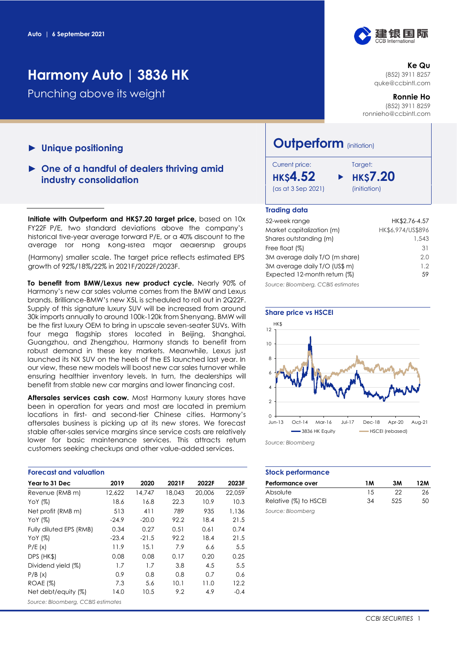# **Harmony Auto | 3836 HK**

Punching above its weight

- ► **Unique positioning**
- ► **One of a handful of dealers thriving amid industry consolidation**

**Initiate with Outperform and HK\$7.20 target price, based on 10x 52-week range HK\$2.76** FY22F P/E, two standard deviations above the company's historical five-year average forward P/E, or a 40% discount to the average for Hong Kong-listed major dealership groups

(Harmony) smaller scale. The target price reflects estimated EPS growth of 92%/18%/22% in 2021F/2022F/2023F.

**To benefit from BMW/Lexus new product cycle.** Nearly 90% of Harmony's new car sales volume comes from the BMW and Lexus brands. Brilliance-BMW's new X5L is scheduled to roll out in 2Q22F. Supply of this signature luxury SUV will be increased from around 30k imports annually to around 100k-120k from Shenyang. BMW will be the first luxury OEM to bring in upscale seven-seater SUVs. With four mega flagship stores located in Beijing, Shanghai, Guangzhou, and Zhengzhou, Harmony stands to benefit from robust demand in these key markets. Meanwhile, Lexus just launched its NX SUV on the heels of the ES launched last year. In our view, these new models will boost new car sales turnover while ensuring healthier inventory levels. In turn, the dealerships will benefit from stable new car margins and lower financing cost.

Aftersales services cash cow. Most Harmony luxury stores have been in operation for years and most are located in premium locations in first- and second-tier Chinese cities. Harmony's aftersales business is picking up at its new stores. We forecast stable after-sales service margins since service costs are relatively lower for basic maintenance services. This attracts return customers seeking checkups and other value-added services.

| <b>Forecast and valuation</b>      |         |         |        |        |        | <b>Stock performo</b> |
|------------------------------------|---------|---------|--------|--------|--------|-----------------------|
| Year to 31 Dec                     | 2019    | 2020    | 2021F  | 2022F  | 2023F  | Performance ove       |
| Revenue (RMB m)                    | 12,622  | 14,747  | 18,043 | 20,006 | 22.059 | Absolute              |
| YoY $(%)$                          | 18.6    | 16.8    | 22.3   | 10.9   | 10.3   | Relative (%) to H.    |
| Net profit (RMB m)                 | 513     | 411     | 789    | 935    | 1,136  | Source: Bloomberg     |
| YoY $(%)$                          | $-24.9$ | $-20.0$ | 92.2   | 18.4   | 21.5   |                       |
| Fully diluted EPS (RMB)            | 0.34    | 0.27    | 0.51   | 0.61   | 0.74   |                       |
| YoY $(%)$                          | $-23.4$ | $-21.5$ | 92.2   | 18.4   | 21.5   |                       |
| P/E(x)                             | 11.9    | 15.1    | 7.9    | 6.6    | 5.5    |                       |
| DPS (HK\$)                         | 0.08    | 0.08    | 0.17   | 0.20   | 0.25   |                       |
| Dividend yield (%)                 | 1.7     | 1.7     | 3.8    | 4.5    | 5.5    |                       |
| P/B(x)                             | 0.9     | 0.8     | 0.8    | 0.7    | 0.6    |                       |
| <b>ROAE (%)</b>                    | 7.3     | 5.6     | 10.1   | 11.0   | 12.2   |                       |
| Net debt/equity (%)                | 14.0    | 10.5    | 9.2    | 4.9    | $-0.4$ |                       |
| Source: Bloomberg, CCBIS estimates |         |         |        |        |        |                       |

# 建银国际

**Ke Qu** (852) 3911 8257 [quke@ccbintl.com](mailto:quke@ccbintl.com)

**Ronnie Ho** (852) 3911 8259 [ronnieho@ccbintl.com](mailto:ronnieho@ccbintl.com)

# **Outperform** (initiation)

| Current price:     |  |
|--------------------|--|
| нкs <b>4.52</b>    |  |
| (as at 3 Sep 2021) |  |

# Target: **HK\$4.52 HK\$7.20** (initiation)

#### **Trading data**

| 52-week range                      | HK\$2.76-4.57     |
|------------------------------------|-------------------|
| Market capitalization (m)          | HK\$6,974/US\$896 |
| Shares outstanding (m)             | 1,543             |
| Free float (%)                     | 31                |
| 3M average daily T/O (m share)     | 2.0               |
| 3M average daily T/O (US\$ m)      | 1.2               |
| Expected 12-month return (%)       | 59                |
| Source: Bloomberg, CCBIS estimates |                   |



*Source: Bloomberg*

#### **Stock performance**

| Performance over      | 1 M | 3M  | 12M |
|-----------------------|-----|-----|-----|
| Absolute              | 15  | つつ  | 26  |
| Relative (%) to HSCEI | 34  | 525 | 50  |
| Source: Bloombera     |     |     |     |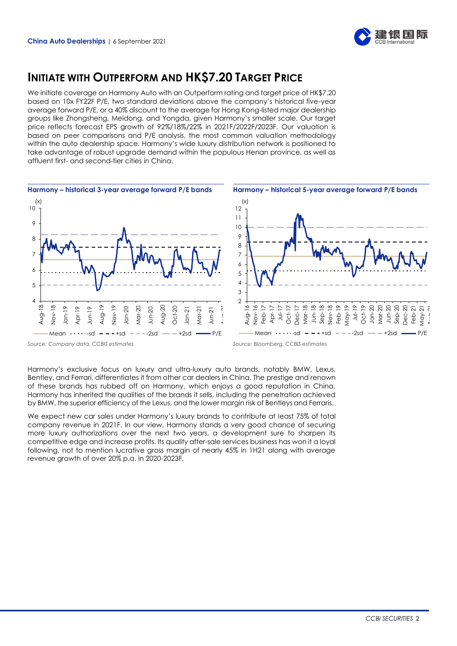

# **INITIATE WITH OUTPERFORM AND HK\$7.20 TARGET PRICE**

We initiate coverage on Harmony Auto with an Outperform rating and target price of HK\$7.20 based on 10x FY22F P/E, two standard deviations above the company's historical five-year average forward P/E, or a 40% discount to the average for Hong Kong-listed major dealership groups like Zhongsheng, Meidong, and Yongda, given Harmony's smaller scale. Our target price reflects forecast EPS growth of 92%/18%/22% in 2021F/2022F/2023F. Our valuation is based on peer comparisons and P/E analysis, the most common valuation methodology within the auto dealership space. Harmony's wide luxury distribution network is positioned to take advantage of robust upgrade demand within the populous Henan province, as well as affluent first- and second-tier cities in China.



Harmony's exclusive focus on luxury and ultra-luxury auto brands, notably BMW, Lexus, Bentley, and Ferrari, differentiates it from other car dealers in China. The prestige and renown of these brands has rubbed off on Harmony, which enjoys a good reputation in China. Harmony has inherited the qualities of the brands it sells, including the penetration achieved by BMW, the superior efficiency of the Lexus, and the lower margin risk of Bentleys and Ferraris.

We expect new car sales under Harmony's luxury brands to contribute at least 75% of total company revenue in 2021F. In our view, Harmony stands a very good chance of securing more luxury authorizations over the next two years, a development sure to sharpen its competitive edge and increase profits. Its quality after-sale services business has won it a loyal following, not to mention lucrative gross margin of nearly 45% in 1H21 along with average  $\frac{a}{5}$   $\frac{a}{5}$   $\frac{a}{5}$   $\frac{a}{5}$   $\frac{a}{5}$   $\frac{a}{5}$   $\frac{a}{5}$   $\frac{a}{5}$   $\frac{a}{5}$   $\frac{a}{5}$   $\frac{a}{5}$   $\frac{a}{5}$   $\frac{a}{5}$   $\frac{a}{5}$   $\frac{a}{5}$   $\frac{a}{5}$   $\frac{a}{5}$   $\frac{a}{5}$   $\frac{a}{5}$   $\frac{a}{5}$   $\frac{a}{5}$   $\frac{a}{5}$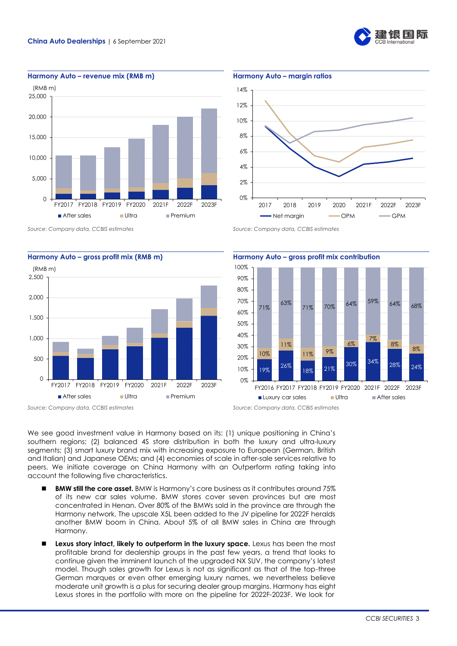



**Harmony Auto – revenue mix (RMB m) Harmony Auto – margin ratios**











**Harmony Auto – gross profit mix (RMB m) Harmony Auto – gross profit mix contribution**

We see good investment value in Harmony based on its: (1) unique positioning in China's southern regions; (2) balanced 4S store distribution in both the luxury and ultra-luxury segments; (3) smart luxury brand mix with increasing exposure to European (German, British and Italian) and Japanese OEMs; and (4) economies of scale in after-sale services relative to peers. We initiate coverage on China Harmony with an Outperform rating taking into account the following five characteristics.

- ◼ **BMW still the core asset.** BMW is Harmony's core business as it contributes around 75% of its new car sales volume. BMW stores cover seven provinces but are most concentrated in Henan. Over 80% of the BMWs sold in the province are through the Harmony network. The upscale X5L been added to the JV pipeline for 2022F heralds another BMW boom in China. About 5% of all BMW sales in China are through Harmony.
- ◼ **Lexus story intact, likely to outperform in the luxury space.** Lexus has been the most profitable brand for dealership groups in the past few years, a trend that looks to continue given the imminent launch of the upgraded NX SUV, the company's latest model. Though sales growth for Lexus is not as significant as that of the top-three German marques or even other emerging luxury names, we nevertheless believe moderate unit growth is a plus for securing dealer group margins. Harmony has eight Lexus stores in the portfolio with more on the pipeline for 2022F-2023F. We look for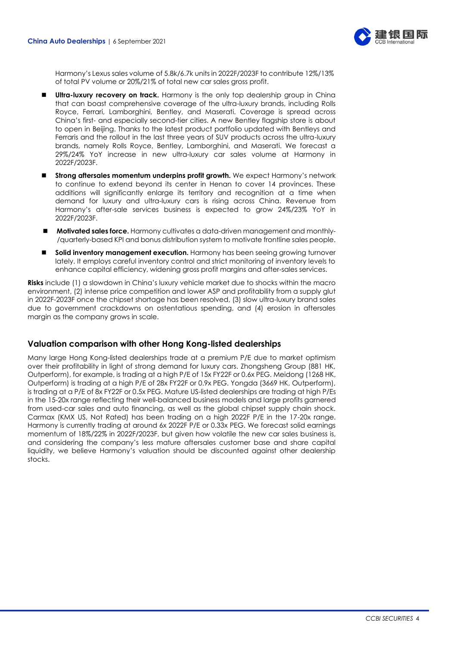

Harmony's Lexus sales volume of 5.8k/6.7k units in 2022F/2023F to contribute 12%/13% of total PV volume or 20%/21% of total new car sales gross profit.

- **Ultra-luxury recovery on track.** Harmony is the only top dealership group in China that can boast comprehensive coverage of the ultra-luxury brands, including Rolls Royce, Ferrari, Lamborghini, Bentley, and Maserati. Coverage is spread across China's first- and especially second-tier cities. A new Bentley flagship store is about to open in Beijing. Thanks to the latest product portfolio updated with Bentleys and Ferraris and the rollout in the last three years of SUV products across the ultra-luxury brands, namely Rolls Royce, Bentley, Lamborghini, and Maserati. We forecast a 29%/24% YoY increase in new ultra-luxury car sales volume at Harmony in 2022F/2023F.
- ◼ **Strong aftersales momentum underpins profit growth.** We expect Harmony's network to continue to extend beyond its center in Henan to cover 14 provinces. These additions will significantly enlarge its territory and recognition at a time when demand for luxury and ultra-luxury cars is rising across China. Revenue from Harmony's after-sale services business is expected to grow 24%/23% YoY in 2022F/2023F.
- ◼ **Motivated sales force.** Harmony cultivates a data-driven management and monthly- /quarterly-based KPI and bonus distribution system to motivate frontline sales people.
- Solid inventory management execution. Harmony has been seeing growing turnover lately. It employs careful inventory control and strict monitoring of inventory levels to enhance capital efficiency, widening gross profit margins and after-sales services.

**Risks** include (1) a slowdown in China's luxury vehicle market due to shocks within the macro environment, (2) intense price competition and lower ASP and profitability from a supply glut in 2022F-2023F once the chipset shortage has been resolved, (3) slow ultra-luxury brand sales due to government crackdowns on ostentatious spending, and (4) erosion in aftersales margin as the company grows in scale.

## **Valuation comparison with other Hong Kong-listed dealerships**

Many large Hong Kong-listed dealerships trade at a premium P/E due to market optimism over their profitability in light of strong demand for luxury cars. Zhongsheng Group (881 HK, Outperform), for example, is trading at a high P/E of 15x FY22F or 0.6x PEG. Meidong (1268 HK, Outperform) is trading at a high P/E of 28x FY22F or 0.9x PEG. Yongda (3669 HK, Outperform), is trading at a P/E of 8x FY22F or 0.5x PEG. Mature US-listed dealerships are trading at high P/Es in the 15-20x range reflecting their well-balanced business models and large profits garnered from used-car sales and auto financing, as well as the global chipset supply chain shock. Carmax (KMX US, Not Rated) has been trading on a high 2022F P/E in the 17-20x range. Harmony is currently trading at around 6x 2022F P/E or 0.33x PEG. We forecast solid earnings momentum of 18%/22% in 2022F/2023F, but given how volatile the new car sales business is, and considering the company's less mature aftersales customer base and share capital liquidity, we believe Harmony's valuation should be discounted against other dealership stocks.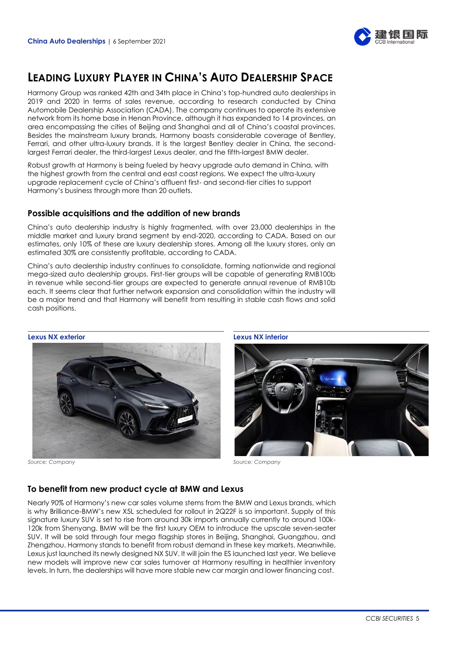

# **LEADING LUXURY PLAYER IN CHINA'S AUTO DEALERSHIP SPACE**

Harmony Group was ranked 42th and 34th place in China's top-hundred auto dealerships in 2019 and 2020 in terms of sales revenue, according to research conducted by China Automobile Dealership Association (CADA). The company continues to operate its extensive network from its home base in Henan Province, although it has expanded to 14 provinces, an area encompassing the cities of Beijing and Shanghai and all of China's coastal provinces. Besides the mainstream luxury brands, Harmony boasts considerable coverage of Bentley, Ferrari, and other ultra-luxury brands. It is the largest Bentley dealer in China, the secondlargest Ferrari dealer, the third-largest Lexus dealer, and the fifth-largest BMW dealer.

Robust growth at Harmony is being fueled by heavy upgrade auto demand in China, with the highest growth from the central and east coast regions. We expect the ultra-luxury upgrade replacement cycle of China's affluent first- and second-tier cities to support Harmony's business through more than 20 outlets.

## **Possible acquisitions and the addition of new brands**

China's auto dealership industry is highly fragmented, with over 23,000 dealerships in the middle market and luxury brand segment by end-2020, according to CADA. Based on our estimates, only 10% of these are luxury dealership stores. Among all the luxury stores, only an estimated 30% are consistently profitable, according to CADA.

China's auto dealership industry continues to consolidate, forming nationwide and regional mega-sized auto dealership groups. First-tier groups will be capable of generating RMB100b in revenue while second-tier groups are expected to generate annual revenue of RMB10b each. It seems clear that further network expansion and consolidation within the industry will be a major trend and that Harmony will benefit from resulting in stable cash flows and solid cash positions.

#### **Lexus NX exterior Lexus NX interior**







# **To benefit from new product cycle at BMW and Lexus**

Nearly 90% of Harmony's new car sales volume stems from the BMW and Lexus brands, which is why Brilliance-BMW's new X5L scheduled for rollout in 2Q22F is so important. Supply of this signature luxury SUV is set to rise from around 30k imports annually currently to around 100k-120k from Shenyang. BMW will be the first luxury OEM to introduce the upscale seven-seater SUV. It will be sold through four mega flagship stores in Beijing, Shanghai, Guangzhou, and Zhengzhou. Harmony stands to benefit from robust demand in these key markets. Meanwhile, Lexus just launched its newly designed NX SUV. It will join the ES launched last year. We believe new models will improve new car sales turnover at Harmony resulting in healthier inventory levels. In turn, the dealerships will have more stable new car margin and lower financing cost.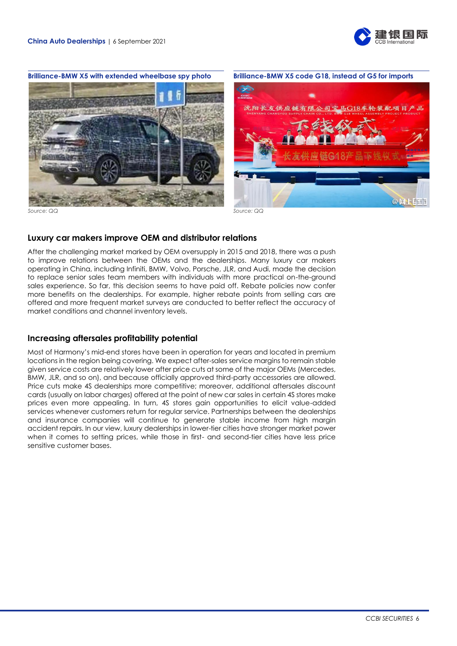



*Source: QQ Source: QQ*

## **Luxury car makers improve OEM and distributor relations**

After the challenging market marked by OEM oversupply in 2015 and 2018, there was a push to improve relations between the OEMs and the dealerships. Many luxury car makers operating in China, including Infiniti, BMW, Volvo, Porsche, JLR, and Audi, made the decision to replace senior sales team members with individuals with more practical on-the-ground sales experience. So far, this decision seems to have paid off. Rebate policies now confer more benefits on the dealerships. For example, higher rebate points from selling cars are offered and more frequent market surveys are conducted to better reflect the accuracy of market conditions and channel inventory levels.

## **Increasing aftersales profitability potential**

Most of Harmony's mid-end stores have been in operation for years and located in premium locations in the region being covering. We expect after-sales service margins to remain stable given service costs are relatively lower after price cuts at some of the major OEMs (Mercedes, BMW, JLR, and so on), and because officially approved third-party accessories are allowed. Price cuts make 4S dealerships more competitive; moreover, additional aftersales discount cards (usually on labor charges) offered at the point of new car sales in certain 4S stores make prices even more appealing. In turn, 4S stores gain opportunities to elicit value-added services whenever customers return for regular service. Partnerships between the dealerships and insurance companies will continue to generate stable income from high margin accident repairs. In our view, luxury dealerships in lower-tier cities have stronger market power when it comes to setting prices, while those in first- and second-tier cities have less price sensitive customer bases.

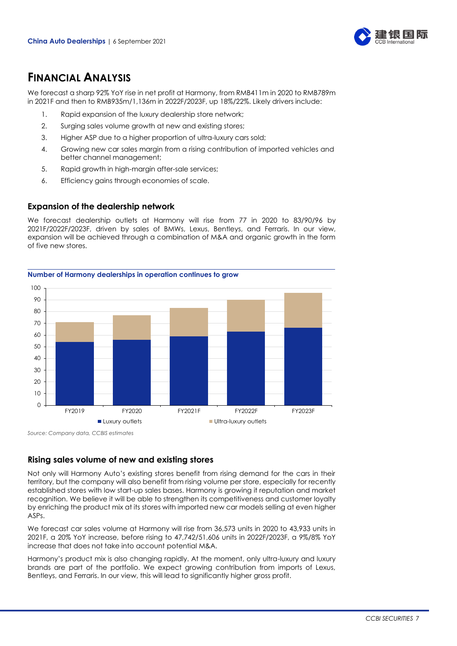

# **FINANCIAL ANALYSIS**

We forecast a sharp 92% YoY rise in net profit at Harmony, from RMB411m in 2020 to RMB789m in 2021F and then to RMB935m/1,136m in 2022F/2023F, up 18%/22%. Likely drivers include:

- 1. Rapid expansion of the luxury dealership store network;
- 2. Surging sales volume growth at new and existing stores;
- 3. Higher ASP due to a higher proportion of ultra-luxury cars sold;
- 4. Growing new car sales margin from a rising contribution of imported vehicles and better channel management;
- 5. Rapid growth in high-margin after-sale services;
- 6. Efficiency gains through economies of scale.

## **Expansion of the dealership network**

We forecast dealership outlets at Harmony will rise from 77 in 2020 to 83/90/96 by 2021F/2022F/2023F, driven by sales of BMWs, Lexus, Bentleys, and Ferraris. In our view, expansion will be achieved through a combination of M&A and organic growth in the form of five new stores.



*Source: Company data, CCBIS estimates*

# **Rising sales volume of new and existing stores**

Not only will Harmony Auto's existing stores benefit from rising demand for the cars in their territory, but the company will also benefit from rising volume per store, especially for recently established stores with low start-up sales bases. Harmony is growing it reputation and market recognition. We believe it will be able to strengthen its competitiveness and customer loyalty by enriching the product mix at its stores with imported new car models selling at even higher ASPs.

We forecast car sales volume at Harmony will rise from 36,573 units in 2020 to 43,933 units in 2021F, a 20% YoY increase, before rising to 47,742/51,606 units in 2022F/2023F, a 9%/8% YoY increase that does not take into account potential M&A.

Harmony's product mix is also changing rapidly. At the moment, only ultra-luxury and luxury brands are part of the portfolio. We expect growing contribution from imports of Lexus, Bentleys, and Ferraris. In our view, this will lead to significantly higher gross profit.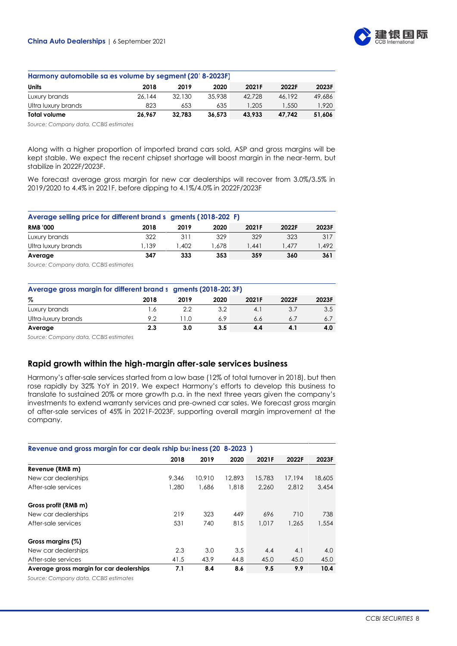

| Harmony automobile sa es volume by segment (20° 8-2023F) |        |        |        |        |        |        |  |  |  |  |
|----------------------------------------------------------|--------|--------|--------|--------|--------|--------|--|--|--|--|
| Units                                                    | 2018   | 2019   | 2020   | 2021F  | 2022F  | 2023F  |  |  |  |  |
| Luxury brands                                            | 26.144 | 32.130 | 35.938 | 42.728 | 46.192 | 49,686 |  |  |  |  |
| Ultra luxury brands                                      | 823    | 653    | 635    | 1.205  | 1,550  | 1.920  |  |  |  |  |
| Total volume                                             | 26.967 | 32.783 | 36.573 | 43.933 | 47.742 | 51.606 |  |  |  |  |

*Source: Company data, CCBIS estimates*

Along with a higher proportion of imported brand cars sold, ASP and gross margins will be kept stable. We expect the recent chipset shortage will boost margin in the near-term, but stabilize in 2022F/2023F.

We forecast average gross margin for new car dealerships will recover from 3.0%/3.5% in 2019/2020 to 4.4% in 2021F, before dipping to 4.1%/4.0% in 2022F/2023F

| Average selling price for different brand s gments (2018-202 F) |       |      |       |       |       |       |  |  |  |  |
|-----------------------------------------------------------------|-------|------|-------|-------|-------|-------|--|--|--|--|
| <b>RMB '000</b>                                                 | 2018  | 2019 | 2020  | 2021F | 2022F | 2023F |  |  |  |  |
| Luxury brands                                                   | 322   | 311  | 329   | 329   | 323   | 317   |  |  |  |  |
| Ultra luxury brands                                             | 1.139 | .402 | 1.678 | 1.441 | 1.477 | 1.492 |  |  |  |  |
| Average                                                         | 347   | 333  | 353   | 359   | 360   | 361   |  |  |  |  |
|                                                                 |       |      |       |       |       |       |  |  |  |  |

*Source: Company data, CCBIS estimates*

| Average gross margin for different brand s gments (2018-2013F) |      |        |      |       |       |       |  |  |  |
|----------------------------------------------------------------|------|--------|------|-------|-------|-------|--|--|--|
| %                                                              | 2018 | 2019   | 2020 | 2021F | 2022F | 2023F |  |  |  |
| Luxury brands                                                  | .6   | 2.2    | 3.2  | 4.1   | 3.7   | 3.5   |  |  |  |
| Ultra-luxury brands                                            | 9.2  | 1 I .O | 6.9  | 6.6   | 6.1   | 6.7   |  |  |  |
| Average                                                        | 2.3  | 3.0    | 3.5  | 4.4   | 4.1   | 4.0   |  |  |  |

*Source: Company data, CCBIS estimates*

# **Rapid growth within the high-margin after-sale services business**

Harmony's after-sale services started from a low base (12% of total turnover in 2018), but then rose rapidly by 32% YoY in 2019. We expect Harmony's efforts to develop this business to translate to sustained 20% or more growth p.a. in the next three years given the company's investments to extend warranty services and pre-owned car sales. We forecast gross margin of after-sale services of 45% in 2021F-2023F, supporting overall margin improvement at the company.

| Revenue and gross margin for car deals rship but iness (20 8-2023) |       |        |        |        |        |        |  |  |  |  |
|--------------------------------------------------------------------|-------|--------|--------|--------|--------|--------|--|--|--|--|
|                                                                    | 2018  | 2019   | 2020   | 2021F  | 2022F  | 2023F  |  |  |  |  |
| Revenue (RMB m)                                                    |       |        |        |        |        |        |  |  |  |  |
| New car dealerships                                                | 9.346 | 10,910 | 12,893 | 15,783 | 17.194 | 18,605 |  |  |  |  |
| After-sale services                                                | 1,280 | 1.686  | 1,818  | 2.260  | 2.812  | 3.454  |  |  |  |  |
| Gross profit (RMB m)                                               |       |        |        |        |        |        |  |  |  |  |
| New car dealerships                                                | 219   | 323    | 449    | 696    | 710    | 738    |  |  |  |  |
| After-sale services                                                | 531   | 740    | 815    | 1.017  | 1.265  | 1.554  |  |  |  |  |
| Gross margins (%)                                                  |       |        |        |        |        |        |  |  |  |  |
| New car dealerships                                                | 2.3   | 3.0    | 3.5    | 4.4    | 4.1    | 4.0    |  |  |  |  |
| After-sale services                                                | 41.5  | 43.9   | 44.8   | 45.0   | 45.0   | 45.0   |  |  |  |  |
| Average gross margin for car dealerships                           | 7.1   | 8.4    | 8.6    | 9.5    | 9.9    | 10.4   |  |  |  |  |

*Source: Company data, CCBIS estimates*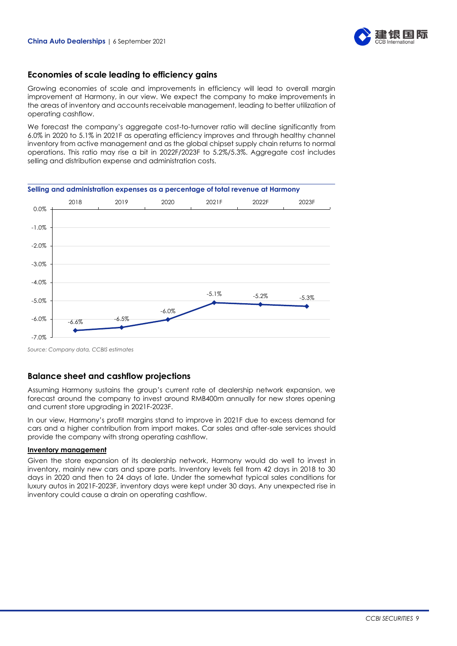

## **Economies of scale leading to efficiency gains**

Growing economies of scale and improvements in efficiency will lead to overall margin improvement at Harmony, in our view. We expect the company to make improvements in the areas of inventory and accounts receivable management, leading to better utilization of operating cashflow.

We forecast the company's aggregate cost-to-turnover ratio will decline significantly from 6.0% in 2020 to 5.1% in 2021F as operating efficiency improves and through healthy channel inventory from active management and as the global chipset supply chain returns to normal operations. This ratio may rise a bit in 2022F/2023F to 5.2%/5.3%. Aggregate cost includes selling and distribution expense and administration costs.

**Selling and administration expenses as a percentage of total revenue at Harmony**



*Source: Company data, CCBIS estimates*

## **Balance sheet and cashflow projections**

Assuming Harmony sustains the group's current rate of dealership network expansion, we forecast around the company to invest around RMB400m annually for new stores opening and current store upgrading in 2021F-2023F.

In our view, Harmony's profit margins stand to improve in 2021F due to excess demand for cars and a higher contribution from import makes. Car sales and after-sale services should provide the company with strong operating cashflow.

#### **Inventory management**

Given the store expansion of its dealership network, Harmony would do well to invest in inventory, mainly new cars and spare parts. Inventory levels fell from 42 days in 2018 to 30 days in 2020 and then to 24 days of late. Under the somewhat typical sales conditions for luxury autos in 2021F-2023F, inventory days were kept under 30 days. Any unexpected rise in inventory could cause a drain on operating cashflow.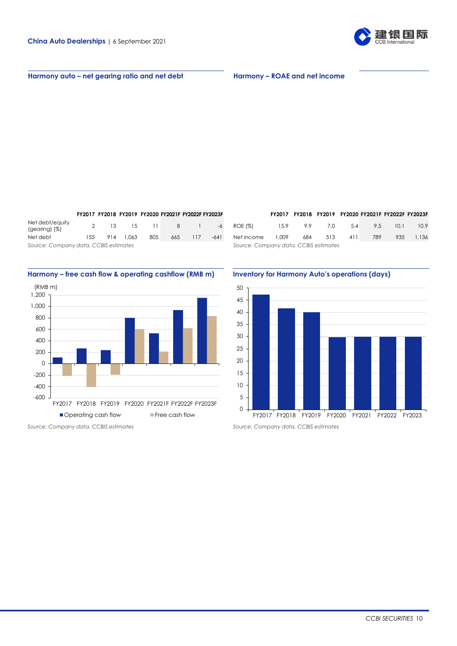

#### **Harmony auto – net gearing ratio and net debt Harmony – ROAE and net income**

**FY2017 FY2018 FY2019 FY2020 FY2021F FY2022F FY2023F FY2017 FY2018 FY2019 FY2020 FY2021F FY2022F FY2023F** Net debt/equity Net debt 155 914 1,063 805 665 117 -641

## **Harmony – free cash flow & operating cashflow (RMB m) Inventory for Harmony Auto's operations (days)**



|                                       |     |           |     | FY2017 FY2018 FY2019 FY2020 FY2021F FY2022F FY2023F |        |                                       |       | FY2017 FY2018 FY2019 FY2020 FY2021F FY2022F FY2023F |     |     |     |      |       |
|---------------------------------------|-----|-----------|-----|-----------------------------------------------------|--------|---------------------------------------|-------|-----------------------------------------------------|-----|-----|-----|------|-------|
| Net debt/equity<br>(gearing) (%)      |     |           |     |                                                     |        | 13 15 11 8 1 -6 ROE (%)               |       | 15.9 9.9                                            | 7.0 | 5.4 | 9.5 | 10.1 | 10.9  |
| Net debt l                            | 155 | 914 1.063 | 805 | 665 117                                             | $-641$ | Net income                            | 1,009 | 684                                                 | 513 | 411 | 789 | 935  | 1.136 |
| Source: Company data, CCBIS estimates |     |           |     |                                                     |        | Source: Company data, CCBIS estimates |       |                                                     |     |     |     |      |       |

50 45 40 35 30 25 20 15 10 5 0

FY2017 FY2018 FY2019 FY2020 FY2021 FY2022 FY2023

*Source: Company data, CCBIS estimates Source: Company data, CCBIS estimates*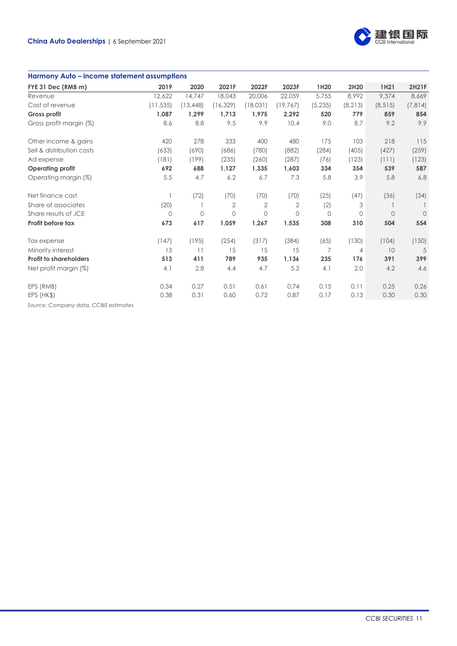

#### **Harmony Auto – income statement assumptions**

| FYE 31 Dec (RMB m)            | 2019         | 2020         | 2021F          | 2022F          | 2023F        | 1H <sub>20</sub> | 2H20     | 1H <sub>21</sub> | 2H21F    |
|-------------------------------|--------------|--------------|----------------|----------------|--------------|------------------|----------|------------------|----------|
| Revenue                       | 12,622       | 14,747       | 18,043         | 20,006         | 22,059       | 5,755            | 8,992    | 9,374            | 8,669    |
| Cost of revenue               | (11, 535)    | (13, 448)    | (16, 329)      | (18,031)       | (19, 767)    | (5, 235)         | (8, 213) | (8, 515)         | (7, 814) |
| Gross profit                  | 1,087        | 1,299        | 1,713          | 1,975          | 2,292        | 520              | 779      | 859              | 854      |
| Gross profit margin (%)       | 8.6          | 8.8          | 9.5            | 9.9            | 10.4         | 9.0              | 8.7      | 9.2              | 9.9      |
| Other income & gains          | 420          | 278          | 333            | 400            | 480          | 175              | 103      | 218              | 115      |
| Sell & distribution costs     | (633)        | (690)        | (686)          | (780)          | (882)        | (284)            | (405)    | (427)            | (259)    |
| Ad expense                    | (181)        | (199)        | (235)          | (260)          | (287)        | (76)             | (123)    | (111)            | (123)    |
| <b>Operating profit</b>       | 692          | 688          | 1,127          | 1,335          | 1,603        | 334              | 354      | 539              | 587      |
| Operating margin (%)          | 5.5          | 4.7          | 6.2            | 6.7            | 7.3          | 5.8              | 3.9      | 5.8              | 6.8      |
| Net finance cost              |              | (72)         | (70)           | (70)           | (70)         | (25)             | (47)     | (36)             | (34)     |
| Share of associates           | (20)         |              | $\overline{2}$ | $\overline{2}$ | $\mathbf{2}$ | (2)              | 3        |                  |          |
| Share results of JCE          | $\mathbf{0}$ | $\mathbf{0}$ | $\mathbf{0}$   | $\circ$        | $\Omega$     | 0                | 0        | $\Omega$         | $\Omega$ |
| Profit before tax             | 673          | 617          | 1,059          | 1,267          | 1,535        | 308              | 310      | 504              | 554      |
| Tax expense                   | (147)        | (195)        | (254)          | (317)          | (384)        | (65)             | (130)    | (104)            | (150)    |
| Minority interest             | 13           | 11           | 15             | 15             | 15           | $\overline{7}$   | 4        | 10               | 5        |
| <b>Profit to shareholders</b> | 513          | 411          | 789            | 935            | 1,136        | 235              | 176      | 391              | 399      |
| Net profit margin (%)         | 4.1          | 2.8          | 4.4            | 4.7            | 5.2          | 4.1              | 2.0      | 4.2              | 4.6      |
| EPS (RMB)                     | 0.34         | 0.27         | 0.51           | 0.61           | 0.74         | 0.15             | 0.11     | 0.25             | 0.26     |
| EPS (HK\$)                    | 0.38         | 0.31         | 0.60           | 0.72           | 0.87         | 0.17             | 0.13     | 0.30             | 0.30     |
| $\sim$ $\sim$ $\sim$ $\sim$   |              |              |                |                |              |                  |          |                  |          |

*Source: Company data, CCBIS estimates*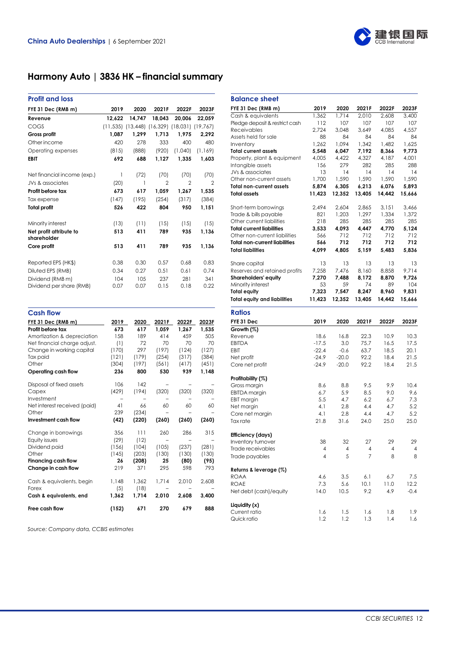

# **Harmony Auto | 3836 HK – financial summary**

| <b>Profit and loss</b>                 |        |                                                             |                |         |          |
|----------------------------------------|--------|-------------------------------------------------------------|----------------|---------|----------|
| FYE 31 Dec (RMB m)                     | 2019   | 2020                                                        | 2021F          | 2022F   | 2023F    |
| Revenue                                | 12,622 | 14.747                                                      | 18.043         | 20,006  | 22,059   |
| COGS                                   |        | $(11, 535)$ $(13, 448)$ $(16, 329)$ $(18, 031)$ $(19, 767)$ |                |         |          |
| Gross profit                           | 1,087  | 1,299                                                       | 1,713          | 1,975   | 2,292    |
| Other income                           | 420    | 278                                                         | 333            | 400     | 480      |
| Operating expenses                     | (815)  | (888)                                                       | (920)          | (1,040) | (1, 169) |
| <b>EBIT</b>                            | 692    | 688                                                         | 1,127          | 1.335   | 1,603    |
| Net financial income (exp.)            | 1      | (72)                                                        | (70)           | (70)    | (70)     |
| JVs & associates                       | (20)   | 1                                                           | $\overline{2}$ | 2       | 2        |
| Profit before tax                      | 673    | 617                                                         | 1,059          | 1,267   | 1,535    |
| Tax expense                            | (147)  | (195)                                                       | (254)          | (317)   | (384)    |
| <b>Total profit</b>                    | 526    | 422                                                         | 804            | 950     | 1,151    |
| Minority interest                      | (13)   | (11)                                                        | (15)           | (15)    | (15)     |
| Net profit attribute to<br>shareholder | 513    | 411                                                         | 789            | 935     | 1,136    |
| Core profit                            | 513    | 411                                                         | 789            | 935     | 1,136    |
| Reported EPS (HK\$)                    | 0.38   | 0.30                                                        | 0.57           | 0.68    | 0.83     |
| Diluted EPS (RMB)                      | 0.34   | 0.27                                                        | 0.51           | 0.61    | 0.74     |
| Dividend (RMB m)                       | 104    | 105                                                         | 237            | 281     | 341      |
| Dividend per share (RMB)               | 0.07   | 0.07                                                        | 0.15           | 0.18    | 0.22     |
| <b>Cash flow</b>                       |        |                                                             |                |         |          |
| FYE 31 Dec (RMB m)                     | 2019   | 2020                                                        | 2021F          | 2022F   | 2023F    |
| Profit before tax                      | 673    | 617                                                         | 1,059          | 1,267   | 1,535    |
| Amortization & depreciation            | 158    | 189                                                         | 414            | 459     | 505      |

| Free cash flow                     | (152) | 671   | 270   | 679   | 888   |
|------------------------------------|-------|-------|-------|-------|-------|
| Cash & equivalents, end            | 1,362 | 1,714 | 2,010 | 2,608 | 3,400 |
| Cash & equivalents, begin<br>Forex | (5)   | (18)  |       |       |       |
|                                    | 1,148 | 1,362 | 1,714 | 2,010 | 2,608 |
| Change in cash flow                | 219   | 371   | 295   | 598   | 793   |
| Financing cash flow                | 26    | (208) | 25    | (80)  | (95)  |
| Other                              | (145) | (203) | (130) | (130) | (130) |
| Dividend paid                      | (156) | (104) | (105) | (237) | (281) |
| Equity issues                      | (29)  | (12)  |       |       |       |
| Change in borrowings               | 356   | 111   | 260   | 286   | 315   |
| Investment cash flow               | (42)  | (220) | (260) | (260) | (260) |
| Other                              | 239   | (234) |       |       |       |
| Net interest received (paid)       | 41    | 66    | 60    | 60    | 60    |
| Investment                         |       |       |       |       |       |
| Capex                              | (429) | (194) | (320) | (320) | (320) |
| Disposal of fixed assets           | 106   | 142   |       |       |       |
| Operating cash flow                | 236   | 800   | 530   | 939   | 1,148 |
| Other                              | (304) | (197) | (561) | (417) | (451) |
| Tax paid                           | (121) | (179) | (254) | (317) | (384) |
| Change in working capital          | (170) | 297   | (197) | (124) | (127) |
| Net financial charge adjust.       | (1)   | 72    | 70    | 70    | 70    |
| ATTIOHIZATIOH & GEPTECIATIOH       | 1 JO  | 107   | 414   | 477   | ບ∪ບ   |

*Source: Company data, CCBIS estimates*

| <b>Balance sheet</b>                     |                         |             |                |                |                |
|------------------------------------------|-------------------------|-------------|----------------|----------------|----------------|
| FYE 31 Dec (RMB m)                       | 2019                    | 2020        | 2021F          | 2022F          | 2023F          |
| Cash & equivalents                       | 1.362                   | 1.714       | 2,010          | 2,608          | 3,400          |
| Pledge deposit & restrict cash           | 112                     | 107         | 107            | 107            | 107            |
| <b>Receivables</b>                       | 2,724                   | 3,048       | 3,649          | 4,085          | 4,557          |
| Assets held for sale                     | 88                      | 84          | 84             | 84             | 84             |
| Inventory                                | 1,262                   | 1,094       | 1,342          | 1,482          | 1,625          |
| <b>Total current assets</b>              | 5,548                   | 6,047       | 7,192          | 8,366          | 9,773          |
| Property, plant & equipment              | 4,005                   | 4,422       | 4,327          | 4,187          | 4,001          |
| Intangible assets                        | 156                     | 279         | 282            | 285            | 288            |
| JVs & associates                         | 13                      | 14          | 14             | 14             | 14             |
| Other non-current assets                 | 1,700                   | 1,590       | 1,590          | 1,590          | 1,590          |
| <b>Total non-current assets</b>          | 5,874                   | 6,305       | 6,213          | 6,076          | 5,893          |
| <b>Total assets</b>                      | 11,423                  | 12,352      | 13,405         | 14,442         | 15,666         |
| Short-term borrowings                    | 2,494                   | 2,604       | 2,865          | 3,151          | 3,466          |
| Trade & bills payable                    | 821                     | 1,203       | 1,297          | 1,334          | 1,372          |
| Other current liabilities                | 218                     | 285         | 285            | 285            | 285            |
| <b>Total current liabilities</b>         | 3,533                   | 4,093       | 4,447          | 4,770          | 5,124          |
| Other non-current liabilities            | 566                     | 712         | 712            | 712            | 712            |
| <b>Total non-current liabilities</b>     | 566                     | 712         | 712            | 712            | 712            |
| <b>Total liabilities</b>                 | 4,099                   | 4,805       | 5,159          | 5.483          | 5,836          |
| Share capital                            | 13                      | 13          | 13             | 13             | 13             |
| Reserves and retained profits            |                         | 7,476       | 8,160          |                | 9,714          |
|                                          | 7,258<br>7,270          | 7,488       | 8.172          | 8,858<br>8.870 | 9,726          |
| Shareholders' equity                     | 53                      | 59          | 74             | 89             | 104            |
| Minority interest<br><b>Total equity</b> | 7,323                   |             |                | 8,960          | 9,831          |
|                                          |                         | 7,547       | 8,247          |                |                |
| <b>Total equity and liabilities</b>      | 11,423                  | 12,352      | 13.405         | 14,442         | 15,666         |
| <b>Ratios</b>                            |                         |             |                |                |                |
| FYE 31 Dec                               | 2019                    | 2020        | 2021F          | 2022F          | 2023F          |
| Growth (%)                               |                         |             |                |                |                |
| Revenue                                  | 18.6                    | 16.8        | 22.3           | 10.9           | 10.3           |
| <b>EBITDA</b>                            | $-17.5$                 | 3.0         | 75.7           | 16.5           | 17.5           |
| EBIT                                     | $-22.4$                 | $-0.6$      | 63.7           | 18.5           | 20.1           |
| Net profit                               | $-24.9$                 | $-20.0$     | 92.2           | 18.4           | 21.5           |
| Core net profit                          | $-24.9$                 | $-20.0$     | 92.2           | 18.4           | 21.5           |
| Profitability (%)                        |                         |             |                |                |                |
| Gross margin                             | 8.6                     | 8.8         | 9.5            | 9.9            | 10.4           |
| <b>EBITDA</b> margin                     | 6.7                     | 5.9         | 8.5            | 9.0            | 9.6            |
| <b>EBIT</b> margin                       | 5.5                     | 4.7         | 6.2            | 6.7            | 7.3            |
| Net margin                               | 4.1                     | 2.8         | 4.4            | 4.7            | 5.2            |
| Core net margin                          | 4.1                     | 2.8         | 4.4            | 4.7            | 5.2            |
| Tax rate                                 | 21.8                    | 31.6        | 24.0           | 25.0           | 25.0           |
| Efficiency (days)                        |                         |             |                |                |                |
| Inventory turnover                       | 38                      | 32          | 27             | 29             | 29             |
| Trade receivables                        | 4                       | 4           | 4              | 4              | 4              |
| Trade payables                           | $\overline{\mathbf{4}}$ | 5           | $\overline{7}$ | 8              | 8              |
|                                          |                         |             |                |                |                |
| Returns & leverage (%)                   |                         |             |                |                |                |
| <b>ROAA</b>                              | 4.6                     | 3.5         | 6.1            | 6.7            | 7.5            |
| <b>ROAE</b><br>Net debt (cash)/equity    | 7.3<br>14.0             | 5.6<br>10.5 | 10.1<br>9.2    | 11.0<br>4.9    | 12.2<br>$-0.4$ |
|                                          |                         |             |                |                |                |
| Liquidity (x)                            |                         |             |                |                |                |
| Current ratio                            | 1.6                     | 1.5         | 1.6<br>1.3     | 1.8<br>1.4     | 1.9            |
| Quick ratio                              | 1.2                     | 1.2         |                |                | 1.6            |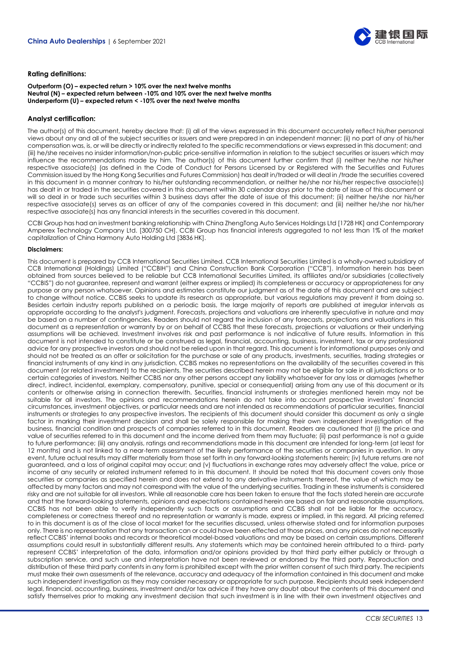

#### **Rating definitions:**

#### **Outperform (O) – expected return > 10% over the next twelve months Neutral (N) – expected return between -10% and 10% over the next twelve months Underperform (U) – expected return < -10% over the next twelve months**

#### **Analyst certification:**

The author(s) of this document, hereby declare that: (i) all of the views expressed in this document accurately reflect his/her personal views about any and all of the subject securities or issuers and were prepared in an independent manner; (ii) no part of any of his/her compensation was, is, or will be directly or indirectly related to the specific recommendations or views expressed in this document; and (iii) he/she receives no insider information/non-public price-sensitive information in relation to the subject securities or issuers which may influence the recommendations made by him. The author(s) of this document further confirm that (i) neither he/she nor his/her respective associate(s) (as defined in the Code of Conduct for Persons Licensed by or Registered with the Securities and Futures Commission issued by the Hong Kong Securities and Futures Commission) has dealt in/traded or will deal in /trade the securities covered in this document in a manner contrary to his/her outstanding recommendation, or neither he/she nor his/her respective associate(s) has dealt in or traded in the securities covered in this document within 30 calendar days prior to the date of issue of this document or will so deal in or trade such securities within 3 business days after the date of issue of this document; (ii) neither he/she nor his/her respective associate(s) serves as an officer of any of the companies covered in this document; and (iii) neither he/she nor his/her respective associate(s) has any financial interests in the securities covered in this document.

CCBI Group has had an investment banking relationship with China ZhengTong Auto Services Holdings Ltd [1728 HK] and Contemporary Amperex Technology Company Ltd. [300750 CH]. CCBI Group has financial interests aggregated to not less than 1% of the market capitalization of China Harmony Auto Holding Ltd [3836 HK].

#### **Disclaimers:**

This document is prepared by CCB International Securities Limited. CCB International Securities Limited is a wholly-owned subsidiary of CCB International (Holdings) Limited ("CCBIH") and China Construction Bank Corporation ("CCB"). Information herein has been obtained from sources believed to be reliable but CCB International Securities Limited, its affiliates and/or subsidiaries (collectively "CCBIS") do not guarantee, represent and warrant (either express or implied) its completeness or accuracy or appropriateness for any purpose or any person whatsoever. Opinions and estimates constitute our judgment as of the date of this document and are subject to change without notice. CCBIS seeks to update its research as appropriate, but various regulations may prevent it from doing so. Besides certain industry reports published on a periodic basis, the large majority of reports are published at irregular intervals as appropriate according to the analyst's judgment. Forecasts, projections and valuations are inherently speculative in nature and may be based on a number of contingencies. Readers should not regard the inclusion of any forecasts, projections and valuations in this document as a representation or warranty by or on behalf of CCBIS that these forecasts, projections or valuations or their underlying assumptions will be achieved. Investment involves risk and past performance is not indicative of future results. Information in this document is not intended to constitute or be construed as legal, financial, accounting, business, investment, tax or any professional advice for any prospective investors and should not be relied upon in that regard. This document is for informational purposes only and should not be treated as an offer or solicitation for the purchase or sale of any products, investments, securities, trading strategies or financial instruments of any kind in any jurisdiction. CCBIS makes no representations on the availability of the securities covered in this document (or related investment) to the recipients. The securities described herein may not be eligible for sale in all jurisdictions or to certain categories of investors. Neither CCBIS nor any other persons accept any liability whatsoever for any loss or damages (whether direct, indirect, incidental, exemplary, compensatory, punitive, special or consequential) arising from any use of this document or its contents or otherwise arising in connection therewith. Securities, financial instruments or strategies mentioned herein may not be suitable for all investors. The opinions and recommendations herein do not take into account prospective investors' financial circumstances, investment objectives, or particular needs and are not intended as recommendations of particular securities, financial instruments or strategies to any prospective investors. The recipients of this document should consider this document as only a single factor in marking their investment decision and shall be solely responsible for making their own independent investigation of the business, financial condition and prospects of companies referred to in this document. Readers are cautioned that (i) the price and value of securities referred to in this document and the income derived from them may fluctuate; (ii) past performance is not a guide to future performance; (iii) any analysis, ratings and recommendations made in this document are intended for long-term (at least for 12 months) and is not linked to a near-term assessment of the likely performance of the securities or companies in question. In any event, future actual results may differ materially from those set forth in any forward-looking statements herein; (iv) future returns are not guaranteed, and a loss of original capital may occur; and (v) fluctuations in exchange rates may adversely affect the value, price or income of any security or related instrument referred to in this document. It should be noted that this document covers only those securities or companies as specified herein and does not extend to any derivative instruments thereof, the value of which may be affected by many factors and may not correspond with the value of the underlying securities. Trading in these instruments is considered risky and are not suitable for all investors. While all reasonable care has been taken to ensure that the facts stated herein are accurate and that the forward-looking statements, opinions and expectations contained herein are based on fair and reasonable assumptions, CCBIS has not been able to verify independently such facts or assumptions and CCBIS shall not be liable for the accuracy, completeness or correctness thereof and no representation or warranty is made, express or implied, in this regard. All pricing referred to in this document is as of the close of local market for the securities discussed, unless otherwise stated and for information purposes only. There is no representation that any transaction can or could have been effected at those prices, and any prices do not necessarily reflect CCBIS' internal books and records or theoretical model-based valuations and may be based on certain assumptions. Different assumptions could result in substantially different results. Any statements which may be contained herein attributed to a third- party represent CCBIS' interpretation of the data, information and/or opinions provided by that third party either publicly or through a subscription service, and such use and interpretation have not been reviewed or endorsed by the third party. Reproduction and distribution of these third party contents in any form is prohibited except with the prior written consent of such third party. The recipients must make their own assessments of the relevance, accuracy and adequacy of the information contained in this document and make such independent investigation as they may consider necessary or appropriate for such purpose. Recipients should seek independent legal, financial, accounting, business, investment and/or tax advice if they have any doubt about the contents of this document and satisfy themselves prior to making any investment decision that such investment is in line with their own investment objectives and